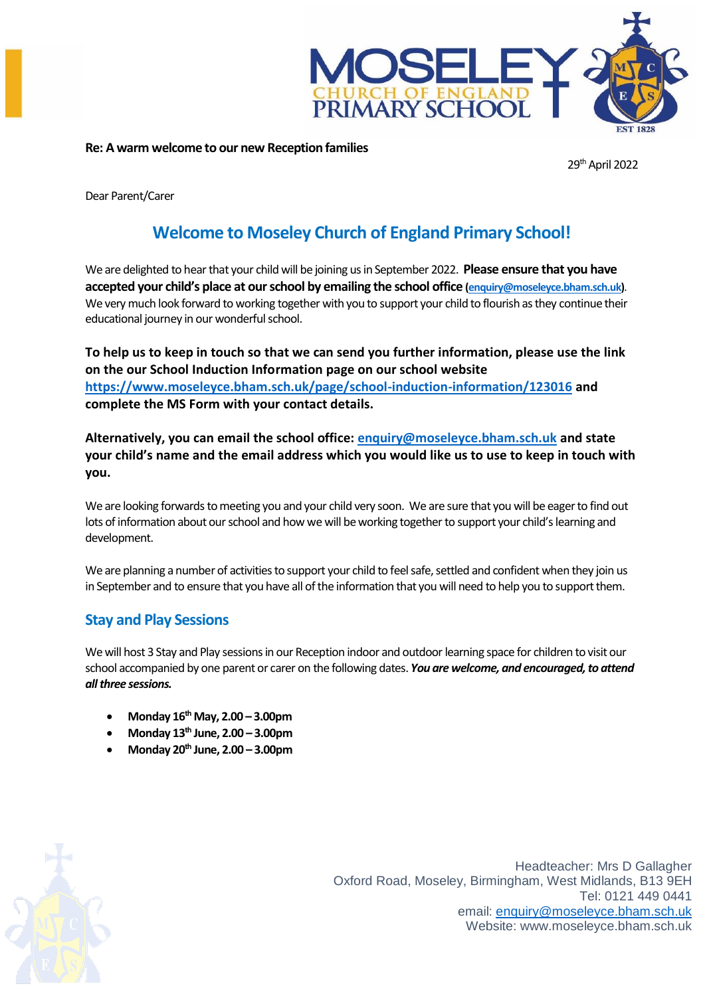

#### **Re: A warm welcome to our new Reception families**

29<sup>th</sup> April 2022

Dear Parent/Carer

# **Welcome to Moseley Church of England Primary School!**

We are delighted to hear that your child will be joining us in September 2022. **Please ensure that you have accepted your child's place at our school by emailing the school office [\(enquiry@moseleyce.bham.sch.uk\)](mailto:enquiry@moseleyce.bham.sch.uk)**. We very much look forward to working together with you to support your child to flourish as they continue their educational journey in our wonderful school.

**To help us to keep in touch so that we can send you further information, please use the link on the our School Induction Information page on our school website <https://www.moseleyce.bham.sch.uk/page/school-induction-information/123016> and complete the MS Form with your contact details.** 

**Alternatively, you can email the school office: [enquiry@moseleyce.bham.sch.uk](mailto:enquiry@moseleyce.bham.sch.uk) and state your child's name and the email address which you would like us to use to keep in touch with you.**

We are looking forwards to meeting you and your child very soon. We are sure that you will be eager to find out lots of information about our school and how we will be working together to support your child's learning and development.

We are planning a number of activities to support your child to feel safe, settled and confident when they join us in September and to ensure that you have all of the information that you will need to help you to support them.

### **Stay and Play Sessions**

We will host 3 Stay and Play sessions in our Reception indoor and outdoor learning space for children to visit our school accompanied by one parent or carer on the following dates. *You are welcome, and encouraged, to attend all three sessions.* 

- **Monday 16th May, 2.00 – 3.00pm**
- **Monday 13th June, 2.00 – 3.00pm**
- **Monday 20th June, 2.00 – 3.00pm**

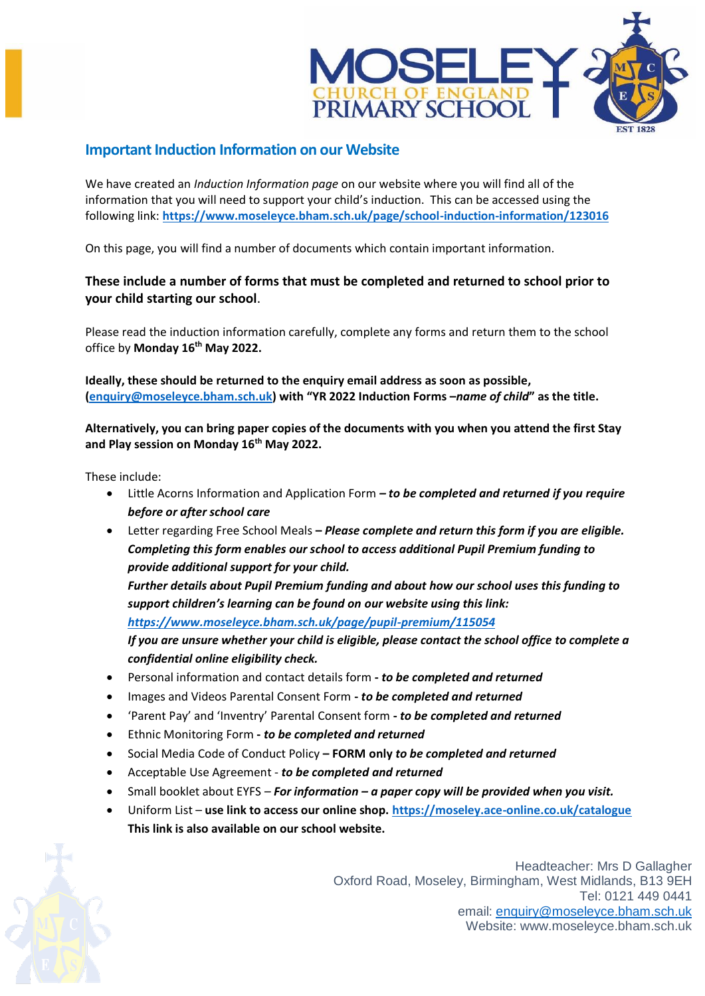

#### **Important Induction Information on our Website**

We have created an *Induction Information page* on our website where you will find all of the information that you will need to support your child's induction. This can be accessed using the following link: **<https://www.moseleyce.bham.sch.uk/page/school-induction-information/123016>**

On this page, you will find a number of documents which contain important information.

#### **These include a number of forms that must be completed and returned to school prior to your child starting our school**.

Please read the induction information carefully, complete any forms and return them to the school office by **Monday 16th May 2022.**

**Ideally, these should be returned to the enquiry email address as soon as possible, [\(enquiry@moseleyce.bham.sch.uk](mailto:enquiry@moseleyce.bham.sch.uk)) with "YR 2022 Induction Forms –***name of child***" as the title.** 

**Alternatively, you can bring paper copies of the documents with you when you attend the first Stay and Play session on Monday 16th May 2022.**

These include:

- Little Acorns Information and Application Form *– to be completed and returned if you require before or after school care*
- Letter regarding Free School Meals **–** *Please complete and return this form if you are eligible. Completing this form enables our school to access additional Pupil Premium funding to provide additional support for your child.*

*Further details about Pupil Premium funding and about how our school uses this funding to support children's learning can be found on our website using this link: <https://www.moseleyce.bham.sch.uk/page/pupil-premium/115054>*

*If you are unsure whether your child is eligible, please contact the school office to complete a confidential online eligibility check.*

- Personal information and contact details form **-** *to be completed and returned*
- Images and Videos Parental Consent Form **-** *to be completed and returned*
- 'Parent Pay' and 'Inventry' Parental Consent form **-** *to be completed and returned*
- Ethnic Monitoring Form **-** *to be completed and returned*
- Social Media Code of Conduct Policy **– FORM only** *to be completed and returned*
- Acceptable Use Agreement *to be completed and returned*
- Small booklet about EYFS *– For information – a paper copy will be provided when you visit.*
- Uniform List **use link to access our online shop. <https://moseley.ace-online.co.uk/catalogue> This link is also available on our school website.**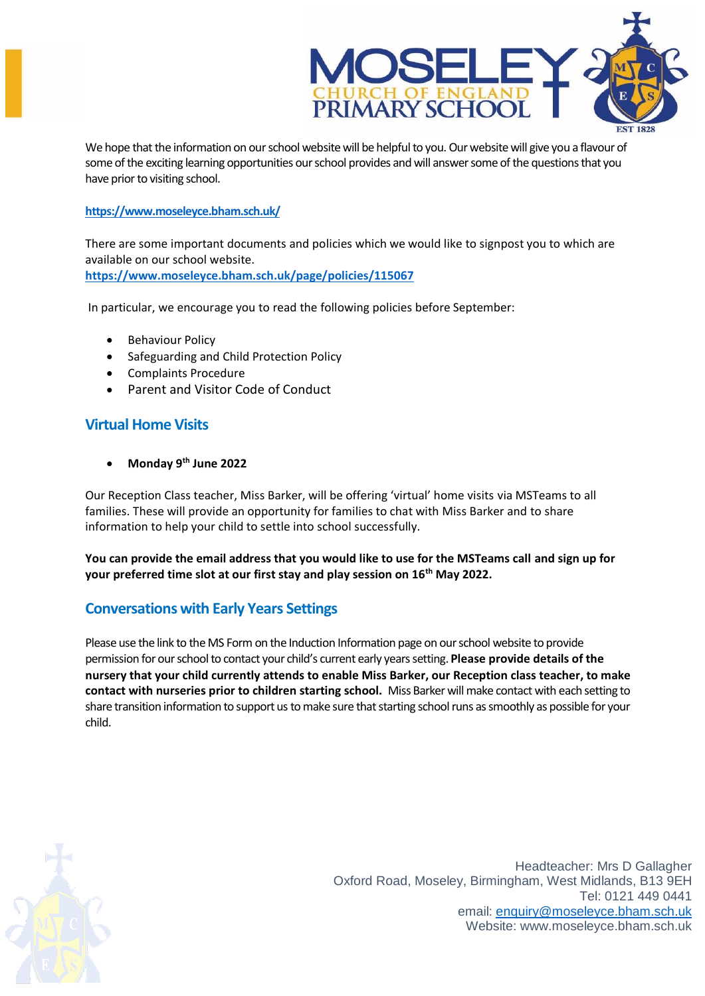

We hope that the information on our school website will be helpful to you. Our websitewill give you a flavour of some of the exciting learning opportunities ourschool provides and will answer some of the questions that you have prior to visiting school.

#### **<https://www.moseleyce.bham.sch.uk/>**

There are some important documents and policies which we would like to signpost you to which are available on our school website.

**<https://www.moseleyce.bham.sch.uk/page/policies/115067>**

In particular, we encourage you to read the following policies before September:

- Behaviour Policy
- Safeguarding and Child Protection Policy
- Complaints Procedure
- Parent and Visitor Code of Conduct

### **Virtual Home Visits**

**Monday 9th June 2022**

Our Reception Class teacher, Miss Barker, will be offering 'virtual' home visits via MSTeams to all families. These will provide an opportunity for families to chat with Miss Barker and to share information to help your child to settle into school successfully.

**You can provide the email address that you would like to use for the MSTeams call and sign up for your preferred time slot at our first stay and play session on 16th May 2022.**

### **Conversations with Early Years Settings**

Please use the link to the MS Form on the Induction Information page on our school website to provide permission for ourschool to contact your child's current early years setting. **Please provide details of the nursery that your child currently attends to enable Miss Barker, our Reception class teacher, to make contact with nurseries prior to children starting school.** Miss Barker will make contact with each setting to share transition information to support us to make sure that starting school runs as smoothly as possible for your child.